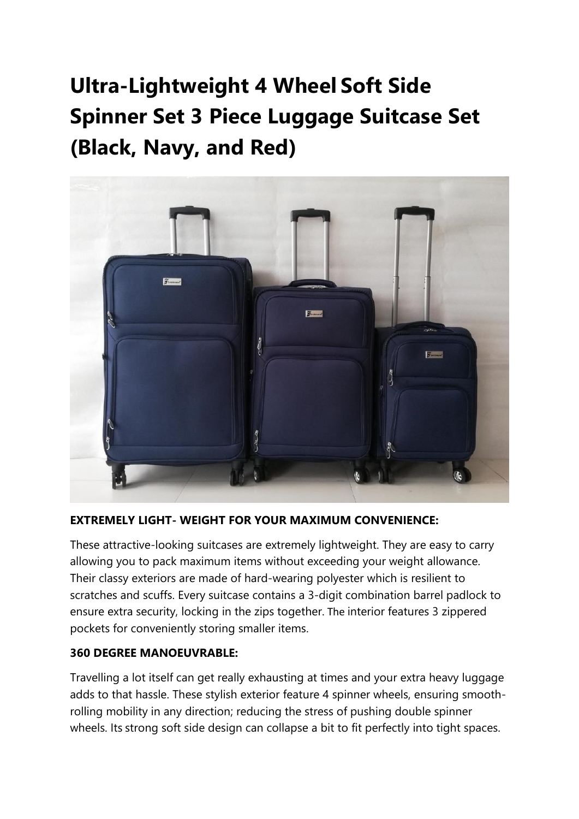**Ultra-Lightweight 4 Wheel Soft Side Spinner Set 3 Piece Luggage Suitcase Set (Black, Navy, and Red)**



### **EXTREMELY LIGHT- WEIGHT FOR YOUR MAXIMUM CONVENIENCE:**

These attractive-looking suitcases are extremely lightweight. They are easy to carry allowing you to pack maximum items without exceeding your weight allowance. Their classy exteriors are made of hard-wearing polyester which is resilient to scratches and scuffs. Every suitcase contains a 3-digit combination barrel padlock to ensure extra security, locking in the zips together. The interior features 3 zippered pockets for conveniently storing smaller items.

#### **360 DEGREE MANOEUVRABLE:**

Travelling a lot itself can get really exhausting at times and your extra heavy luggage adds to that hassle. These stylish exterior feature 4 spinner wheels, ensuring smoothrolling mobility in any direction; reducing the stress of pushing double spinner wheels. Its strong soft side design can collapse a bit to fit perfectly into tight spaces.